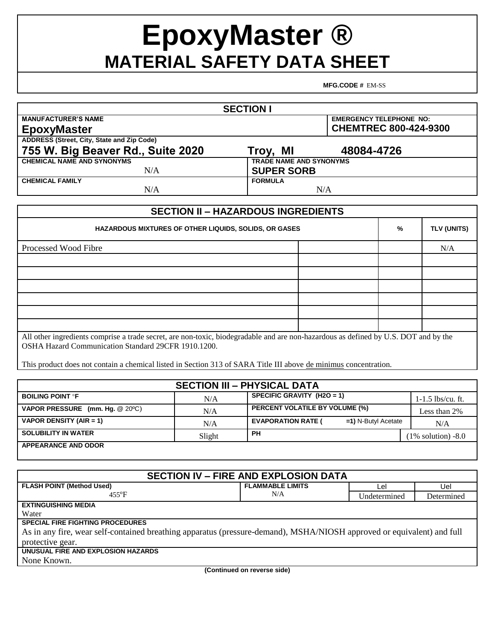## **EpoxyMaster ® MATERIAL SAFETY DATA SHEET**

**MFG.CODE #** EM-SS

| <b>SECTION I</b>                                  |                                |  |  |
|---------------------------------------------------|--------------------------------|--|--|
| <b>MANUFACTURER'S NAME</b>                        | <b>EMERGENCY TELEPHONE NO:</b> |  |  |
| <b>EpoxyMaster</b>                                | <b>CHEMTREC 800-424-9300</b>   |  |  |
| <b>ADDRESS (Street, City, State and Zip Code)</b> |                                |  |  |
| 755 W. Big Beaver Rd., Suite 2020                 | 48084-4726<br>Troy, MI         |  |  |
| <b>CHEMICAL NAME AND SYNONYMS</b>                 | <b>TRADE NAME AND SYNONYMS</b> |  |  |
| N/A                                               | <b>SUPER SORB</b>              |  |  |
| <b>CHEMICAL FAMILY</b>                            | <b>FORMULA</b>                 |  |  |
| N/A                                               | N/A                            |  |  |

| <b>SECTION II - HAZARDOUS INGREDIENTS</b>                                                                                                                                                  |  |   |                    |  |
|--------------------------------------------------------------------------------------------------------------------------------------------------------------------------------------------|--|---|--------------------|--|
| <b>HAZARDOUS MIXTURES OF OTHER LIQUIDS, SOLIDS, OR GASES</b>                                                                                                                               |  | % | <b>TLV (UNITS)</b> |  |
| Processed Wood Fibre                                                                                                                                                                       |  |   | N/A                |  |
|                                                                                                                                                                                            |  |   |                    |  |
|                                                                                                                                                                                            |  |   |                    |  |
|                                                                                                                                                                                            |  |   |                    |  |
|                                                                                                                                                                                            |  |   |                    |  |
|                                                                                                                                                                                            |  |   |                    |  |
|                                                                                                                                                                                            |  |   |                    |  |
| All other ingredients comprise a trade secret, are non-toxic, biodegradable and are non-hazardous as defined by U.S. DOT and by the<br>OSHA Hazard Communication Standard 29CFR 1910.1200. |  |   |                    |  |

This product does not contain a chemical listed in Section 313 of SARA Title III above de minimus concentration.

| <b>SECTION III - PHYSICAL DATA</b> |        |                                                     |                       |
|------------------------------------|--------|-----------------------------------------------------|-----------------------|
| <b>BOILING POINT PF</b>            | N/A    | SPECIFIC GRAVITY $(H2O = 1)$                        | $1-1.5$ lbs/cu. ft.   |
| VAPOR PRESSURE (mm. Hg. @ 20°C)    | N/A    | <b>PERCENT VOLATILE BY VOLUME (%)</b>               | Less than 2%          |
| VAPOR DENSITY (AIR = 1)            | N/A    | <b>EVAPORATION RATE (</b><br>$=1$ ) N-Butyl Acetate | N/A                   |
| <b>SOLUBILITY IN WATER</b>         | Slight | <b>PH</b>                                           | $(1\%$ solution) -8.0 |
| <b>APPEARANCE AND ODOR</b>         |        |                                                     |                       |

| <b>SECTION IV - FIRE AND EXPLOSION DATA</b>                                                                            |                         |              |            |
|------------------------------------------------------------------------------------------------------------------------|-------------------------|--------------|------------|
| <b>FLASH POINT (Method Used)</b>                                                                                       | <b>FLAMMABLE LIMITS</b> | Lel          | Uel        |
| $455^{\circ}F$                                                                                                         | N/A                     | Undetermined | Determined |
| <b>EXTINGUISHING MEDIA</b>                                                                                             |                         |              |            |
| Water                                                                                                                  |                         |              |            |
| <b>SPECIAL FIRE FIGHTING PROCEDURES</b>                                                                                |                         |              |            |
| As in any fire, wear self-contained breathing apparatus (pressure-demand), MSHA/NIOSH approved or equivalent) and full |                         |              |            |
| protective gear.                                                                                                       |                         |              |            |
| UNUSUAL FIRE AND EXPLOSION HAZARDS                                                                                     |                         |              |            |
| None Known.                                                                                                            |                         |              |            |
| Continued on reverse side)                                                                                             |                         |              |            |

**(Continued on reverse side)**